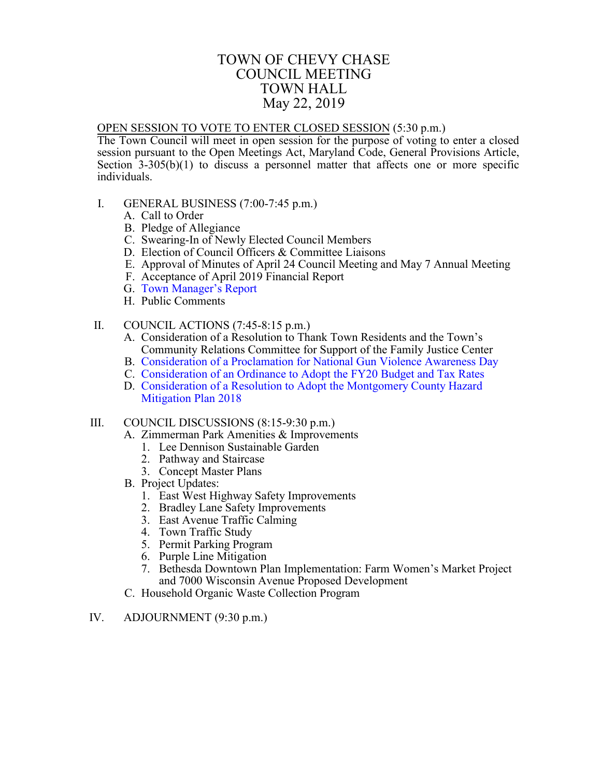### TOWN OF CHEVY CHASE COUNCIL MEETING TOWN HALL May 22, 2019

#### <span id="page-0-0"></span>OPEN SESSION TO VOTE TO ENTER CLOSED SESSION (5:30 p.m.)

The Town Council will meet in open session for the purpose of voting to enter a closed session pursuant to the Open Meetings Act, Maryland Code, General Provisions Article, Section  $3-305(b)(1)$  to discuss a personnel matter that affects one or more specific individuals.

- I. GENERAL BUSINESS (7:00-7:45 p.m.)
	- A. Call to Order
	- B. Pledge of Allegiance
	- C. Swearing-In of Newly Elected Council Members
	- D. Election of Council Officers & Committee Liaisons
	- E. Approval of Minutes of April 24 Council Meeting and May 7 Annual Meeting
	- F. Acceptance of April 2019 Financial Report
	- G. Town [Manager's Report](#page-1-0)
	- H. Public Comments
- II. COUNCIL ACTIONS (7:45-8:15 p.m.)
	- A. Consideration of a Resolution to Thank Town Residents and the Town's Community Relations Committee for Support of the Family Justice Center
	- B. [Consideration of a Proclamation for National Gun](#page-2-0) Violence Awareness Day
	- C. [Consideration of an Ordinance to Adopt the FY20 Budget](#page-4-0) and Tax Rates
	- D. [Consideration of a Resolution to Adopt the Montgomery County Hazard](#page-7-0) Mitigation Plan 2018

#### III. COUNCIL DISCUSSIONS (8:15-9:30 p.m.)

- A. Zimmerman Park Amenities & Improvements
	- 1. Lee Dennison Sustainable Garden
	- 2. Pathway and Staircase
	- 3. Concept Master Plans
- B. Project Updates:
	- 1. East West Highway Safety Improvements
	- 2. Bradley Lane Safety Improvements
	- 3. East Avenue Traffic Calming
	- 4. Town Traffic Study
	- 5. Permit Parking Program
	- 6. Purple Line Mitigation
	- 7. Bethesda Downtown Plan Implementation: Farm Women's Market Project and 7000 Wisconsin Avenue Proposed Development
- C. Household Organic Waste Collection Program
- IV. ADJOURNMENT (9:30 p.m.)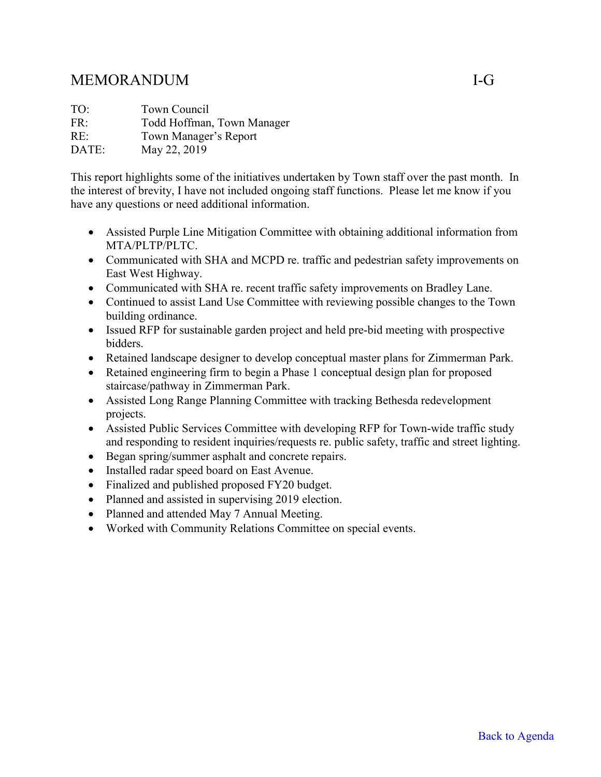# <span id="page-1-0"></span>MEMORANDUM I-G

| TO:   | Town Council               |
|-------|----------------------------|
| FR:   | Todd Hoffman, Town Manager |
| RE:   | Town Manager's Report      |
| DATE: | May 22, 2019               |

This report highlights some of the initiatives undertaken by Town staff over the past month. In the interest of brevity, I have not included ongoing staff functions. Please let me know if you have any questions or need additional information.

- Assisted Purple Line Mitigation Committee with obtaining additional information from MTA/PLTP/PLTC.
- Communicated with SHA and MCPD re. traffic and pedestrian safety improvements on East West Highway.
- Communicated with SHA re. recent traffic safety improvements on Bradley Lane.
- Continued to assist Land Use Committee with reviewing possible changes to the Town building ordinance.
- Issued RFP for sustainable garden project and held pre-bid meeting with prospective bidders.
- Retained landscape designer to develop conceptual master plans for Zimmerman Park.
- Retained engineering firm to begin a Phase 1 conceptual design plan for proposed staircase/pathway in Zimmerman Park.
- Assisted Long Range Planning Committee with tracking Bethesda redevelopment projects.
- Assisted Public Services Committee with developing RFP for Town-wide traffic study and responding to resident inquiries/requests re. public safety, traffic and street lighting.
- Began spring/summer asphalt and concrete repairs.
- Installed radar speed board on East Avenue.
- Finalized and published proposed FY20 budget.
- Planned and assisted in supervising 2019 election.
- Planned and attended May 7 Annual Meeting.
- Worked with Community Relations Committee on special events.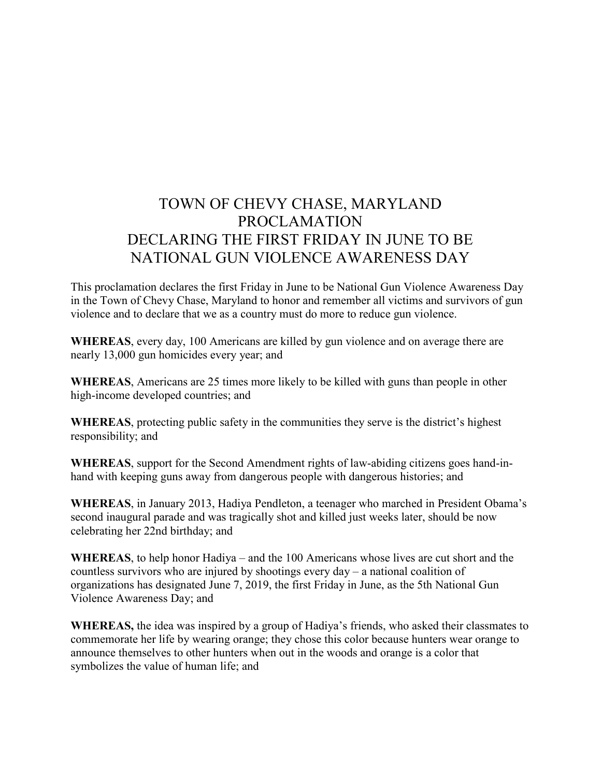# <span id="page-2-0"></span>TOWN OF CHEVY CHASE, MARYLAND PROCLAMATION DECLARING THE FIRST FRIDAY IN JUNE TO BE NATIONAL GUN VIOLENCE AWARENESS DAY

This proclamation declares the first Friday in June to be National Gun Violence Awareness Day in the Town of Chevy Chase, Maryland to honor and remember all victims and survivors of gun violence and to declare that we as a country must do more to reduce gun violence.

**WHEREAS**, every day, 100 Americans are killed by gun violence and on average there are nearly 13,000 gun homicides every year; and

**WHEREAS**, Americans are 25 times more likely to be killed with guns than people in other high-income developed countries; and

**WHEREAS**, protecting public safety in the communities they serve is the district's highest responsibility; and

**WHEREAS**, support for the Second Amendment rights of law-abiding citizens goes hand-inhand with keeping guns away from dangerous people with dangerous histories; and

**WHEREAS**, in January 2013, Hadiya Pendleton, a teenager who marched in President Obama's second inaugural parade and was tragically shot and killed just weeks later, should be now celebrating her 22nd birthday; and

**WHEREAS**, to help honor Hadiya – and the 100 Americans whose lives are cut short and the countless survivors who are injured by shootings every day – a national coalition of organizations has designated June 7, 2019, the first Friday in June, as the 5th National Gun Violence Awareness Day; and

**WHEREAS,** the idea was inspired by a group of Hadiya's friends, who asked their classmates to commemorate her life by wearing orange; they chose this color because hunters wear orange to announce themselves to other hunters when out in the woods and orange is a color that symbolizes the value of human life; and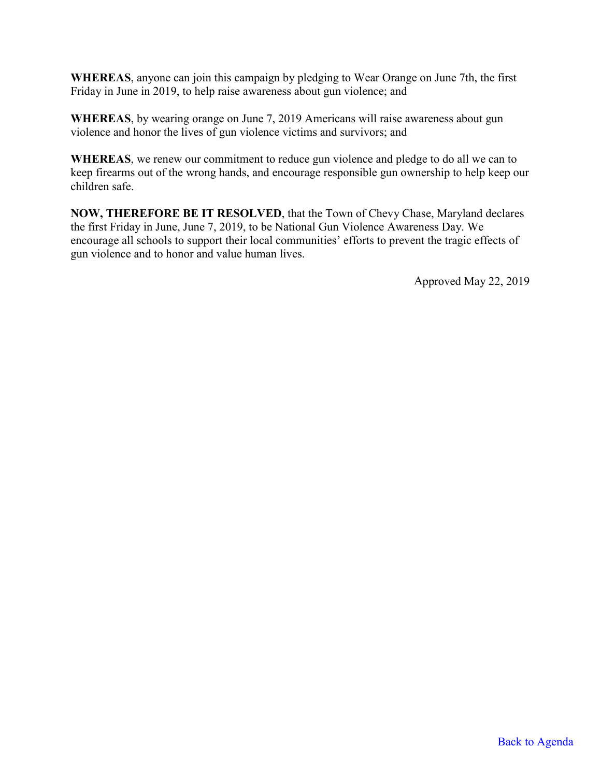**WHEREAS**, anyone can join this campaign by pledging to Wear Orange on June 7th, the first Friday in June in 2019, to help raise awareness about gun violence; and

**WHEREAS**, by wearing orange on June 7, 2019 Americans will raise awareness about gun violence and honor the lives of gun violence victims and survivors; and

**WHEREAS**, we renew our commitment to reduce gun violence and pledge to do all we can to keep firearms out of the wrong hands, and encourage responsible gun ownership to help keep our children safe.

**NOW, THEREFORE BE IT RESOLVED**, that the Town of Chevy Chase, Maryland declares the first Friday in June, June 7, 2019, to be National Gun Violence Awareness Day. We encourage all schools to support their local communities' efforts to prevent the tragic effects of gun violence and to honor and value human lives.

Approved May 22, 2019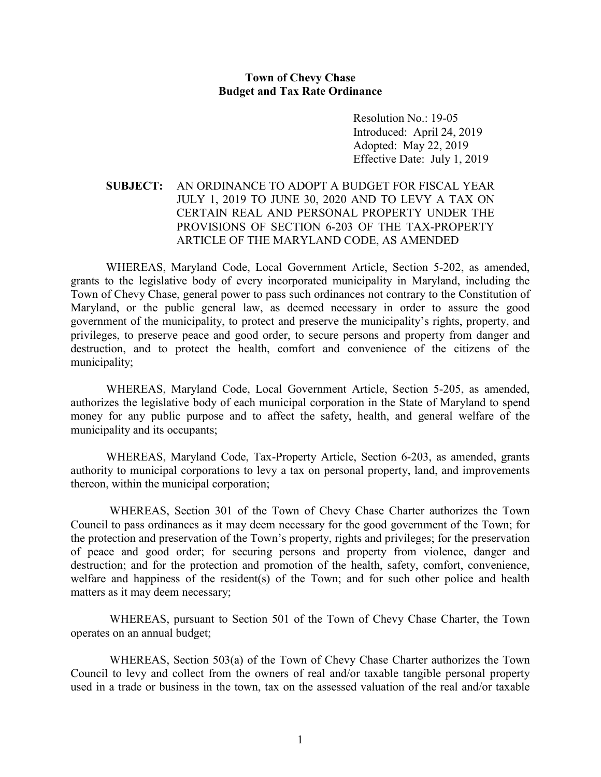#### **Town of Chevy Chase Budget and Tax Rate Ordinance**

Resolution No.: 19-05 Introduced: April 24, 2019 Adopted: May 22, 2019 Effective Date: July 1, 2019

#### <span id="page-4-0"></span>**SUBJECT:** AN ORDINANCE TO ADOPT A BUDGET FOR FISCAL YEAR JULY 1, 2019 TO JUNE 30, 2020 AND TO LEVY A TAX ON CERTAIN REAL AND PERSONAL PROPERTY UNDER THE PROVISIONS OF SECTION 6-203 OF THE TAX-PROPERTY ARTICLE OF THE MARYLAND CODE, AS AMENDED

WHEREAS, Maryland Code, Local Government Article, Section 5-202, as amended, grants to the legislative body of every incorporated municipality in Maryland, including the Town of Chevy Chase, general power to pass such ordinances not contrary to the Constitution of Maryland, or the public general law, as deemed necessary in order to assure the good government of the municipality, to protect and preserve the municipality's rights, property, and privileges, to preserve peace and good order, to secure persons and property from danger and destruction, and to protect the health, comfort and convenience of the citizens of the municipality;

WHEREAS, Maryland Code, Local Government Article, Section 5-205, as amended, authorizes the legislative body of each municipal corporation in the State of Maryland to spend money for any public purpose and to affect the safety, health, and general welfare of the municipality and its occupants;

WHEREAS, Maryland Code, Tax-Property Article, Section 6-203, as amended, grants authority to municipal corporations to levy a tax on personal property, land, and improvements thereon, within the municipal corporation;

WHEREAS, Section 301 of the Town of Chevy Chase Charter authorizes the Town Council to pass ordinances as it may deem necessary for the good government of the Town; for the protection and preservation of the Town's property, rights and privileges; for the preservation of peace and good order; for securing persons and property from violence, danger and destruction; and for the protection and promotion of the health, safety, comfort, convenience, welfare and happiness of the resident(s) of the Town; and for such other police and health matters as it may deem necessary;

WHEREAS, pursuant to Section 501 of the Town of Chevy Chase Charter, the Town operates on an annual budget;

WHEREAS, Section 503(a) of the Town of Chevy Chase Charter authorizes the Town Council to levy and collect from the owners of real and/or taxable tangible personal property used in a trade or business in the town, tax on the assessed valuation of the real and/or taxable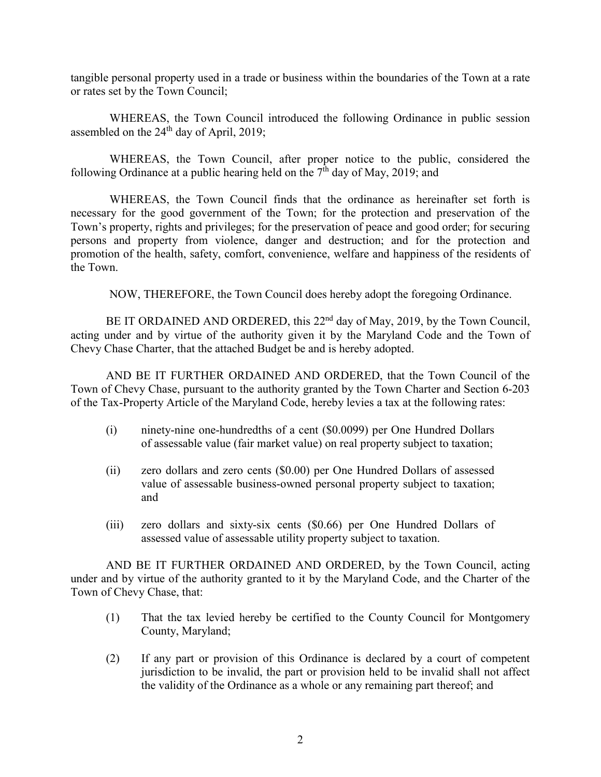tangible personal property used in a trade or business within the boundaries of the Town at a rate or rates set by the Town Council;

WHEREAS, the Town Council introduced the following Ordinance in public session assembled on the  $24<sup>th</sup>$  day of April, 2019;

WHEREAS, the Town Council, after proper notice to the public, considered the following Ordinance at a public hearing held on the  $7<sup>th</sup>$  day of May, 2019; and

WHEREAS, the Town Council finds that the ordinance as hereinafter set forth is necessary for the good government of the Town; for the protection and preservation of the Town's property, rights and privileges; for the preservation of peace and good order; for securing persons and property from violence, danger and destruction; and for the protection and promotion of the health, safety, comfort, convenience, welfare and happiness of the residents of the Town.

NOW, THEREFORE, the Town Council does hereby adopt the foregoing Ordinance.

BE IT ORDAINED AND ORDERED, this 22<sup>nd</sup> day of May, 2019, by the Town Council, acting under and by virtue of the authority given it by the Maryland Code and the Town of Chevy Chase Charter, that the attached Budget be and is hereby adopted.

AND BE IT FURTHER ORDAINED AND ORDERED, that the Town Council of the Town of Chevy Chase, pursuant to the authority granted by the Town Charter and Section 6-203 of the Tax-Property Article of the Maryland Code, hereby levies a tax at the following rates:

- (i) ninety-nine one-hundredths of a cent (\$0.0099) per One Hundred Dollars of assessable value (fair market value) on real property subject to taxation;
- (ii) zero dollars and zero cents (\$0.00) per One Hundred Dollars of assessed value of assessable business-owned personal property subject to taxation; and
- (iii) zero dollars and sixty-six cents (\$0.66) per One Hundred Dollars of assessed value of assessable utility property subject to taxation.

AND BE IT FURTHER ORDAINED AND ORDERED, by the Town Council, acting under and by virtue of the authority granted to it by the Maryland Code, and the Charter of the Town of Chevy Chase, that:

- (1) That the tax levied hereby be certified to the County Council for Montgomery County, Maryland;
- (2) If any part or provision of this Ordinance is declared by a court of competent jurisdiction to be invalid, the part or provision held to be invalid shall not affect the validity of the Ordinance as a whole or any remaining part thereof; and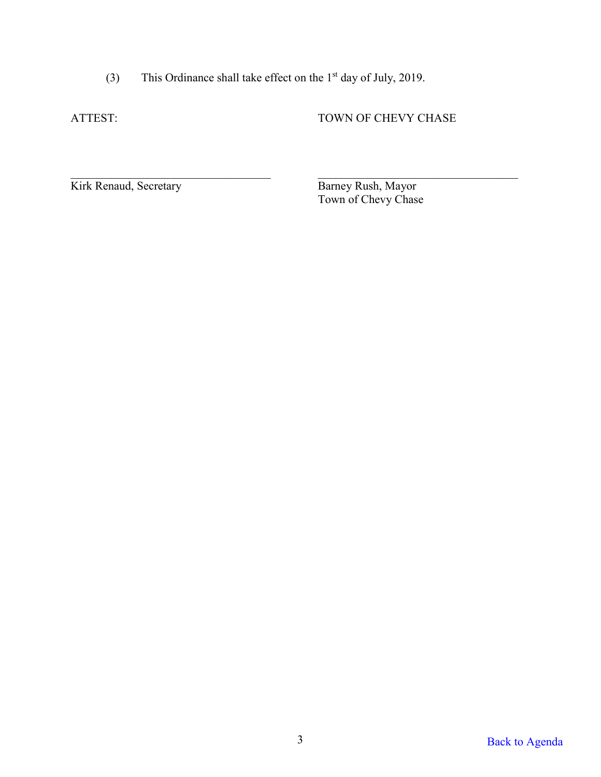(3) This Ordinance shall take effect on the  $1<sup>st</sup>$  day of July, 2019.

ATTEST: TOWN OF CHEVY CHASE

Kirk Renaud, Secretary

Barney Rush, Mayor<br>Town of Chevy Chase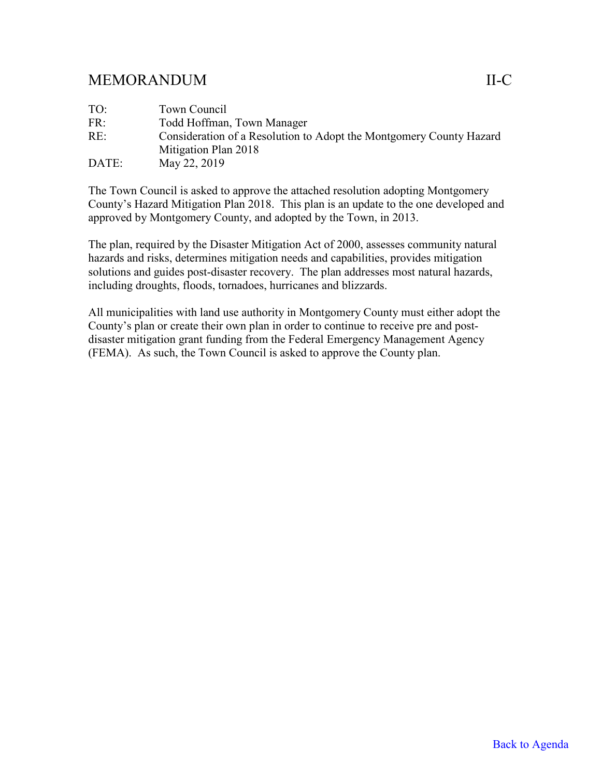## <span id="page-7-0"></span>MEMORANDUM II-C

| TO:   | Town Council                                                        |
|-------|---------------------------------------------------------------------|
| FR:   | Todd Hoffman, Town Manager                                          |
| RE:   | Consideration of a Resolution to Adopt the Montgomery County Hazard |
|       | Mitigation Plan 2018                                                |
| DATE: | May 22, 2019                                                        |

The Town Council is asked to approve the attached resolution adopting Montgomery County's Hazard Mitigation Plan 2018. This plan is an update to the one developed and approved by Montgomery County, and adopted by the Town, in 2013.

The plan, required by the Disaster Mitigation Act of 2000, assesses community natural hazards and risks, determines mitigation needs and capabilities, provides mitigation solutions and guides post-disaster recovery. The plan addresses most natural hazards, including droughts, floods, tornadoes, hurricanes and blizzards.

All municipalities with land use authority in Montgomery County must either adopt the County's plan or create their own plan in order to continue to receive pre and postdisaster mitigation grant funding from the Federal Emergency Management Agency (FEMA). As such, the Town Council is asked to approve the County plan.